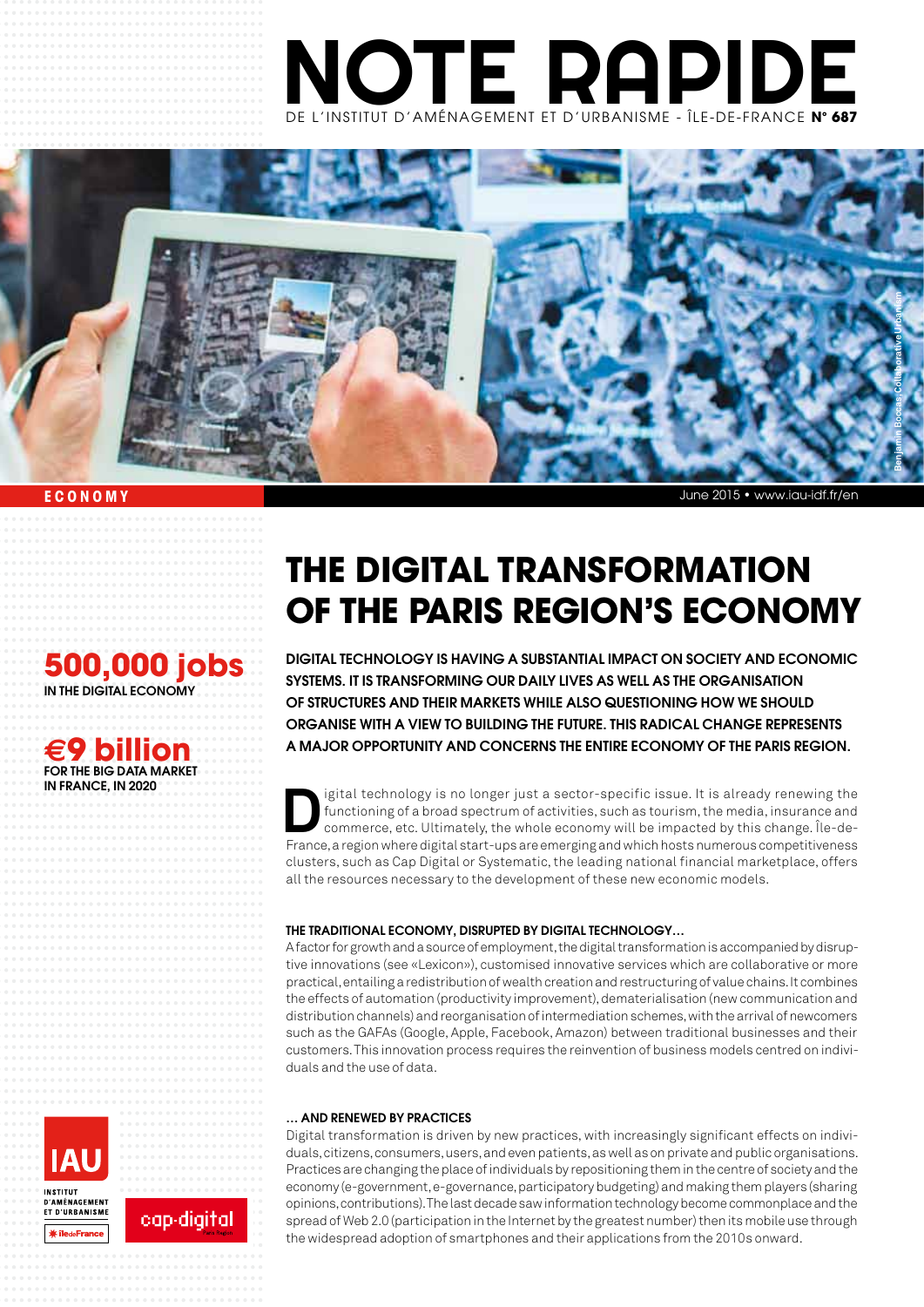



## **ECONOMY**

## **500,000 jobs**

in the digital economy

## **e9 billion** For the big data market in france, in 2020

# **The digital transformation of the Paris region's economy**

Digital technology is having a substantial impact on society and economic systems. It is transforming our daily lives as well as the organisation of structures and their markets while also questioning how we should organise with a view to building the future. This radical change represents a major opportunity and concerns the entire economy of the Paris region.

igital technology is no longer just a sector-specific issue. It is already renewing the<br>functioning of a broad spectrum of activities, such as tourism, the media, insurance and<br>commerce, etc. Ultimately, the whole economy functioning of a broad spectrum of activities, such as tourism, the media, insurance and commerce, etc. Ultimately, the whole economy will be impacted by this change. Île-de-France, a region where digital start-ups are emerging and which hosts numerous competitiveness clusters, such as Cap Digital or Systematic, the leading national financial marketplace, offers all the resources necessary to the development of these new economic models.

## The traditional economy, disrupted by digital technology…

A factor for growth and a source of employment, the digital transformation is accompanied by disruptive innovations (see «Lexicon»), customised innovative services which are collaborative or more practical, entailing a redistribution of wealth creation and restructuring of value chains. It combines the effects of automation (productivity improvement), dematerialisation (new communication and distribution channels) and reorganisation of intermediation schemes, with the arrival of newcomers such as the GAFAs (Google, Apple, Facebook, Amazon) between traditional businesses and their customers. This innovation process requires the reinvention of business models centred on individuals and the use of data.

## … and renewed by practices

Digital transformation is driven by new practices, with increasingly significant effects on individuals, citizens, consumers, users, and even patients, as well as on private and public organisations. Practices are changing the place of individuals by repositioning them in the centre of society and the economy (e-government, e-governance, participatory budgeting) and making them players (sharing opinions, contributions). The last decade saw information technology become commonplace and the spread of Web 2.0 (participation in the Internet by the greatest number) then its mobile use through the widespread adoption of smartphones and their applications from the 2010s onward.



cap-digital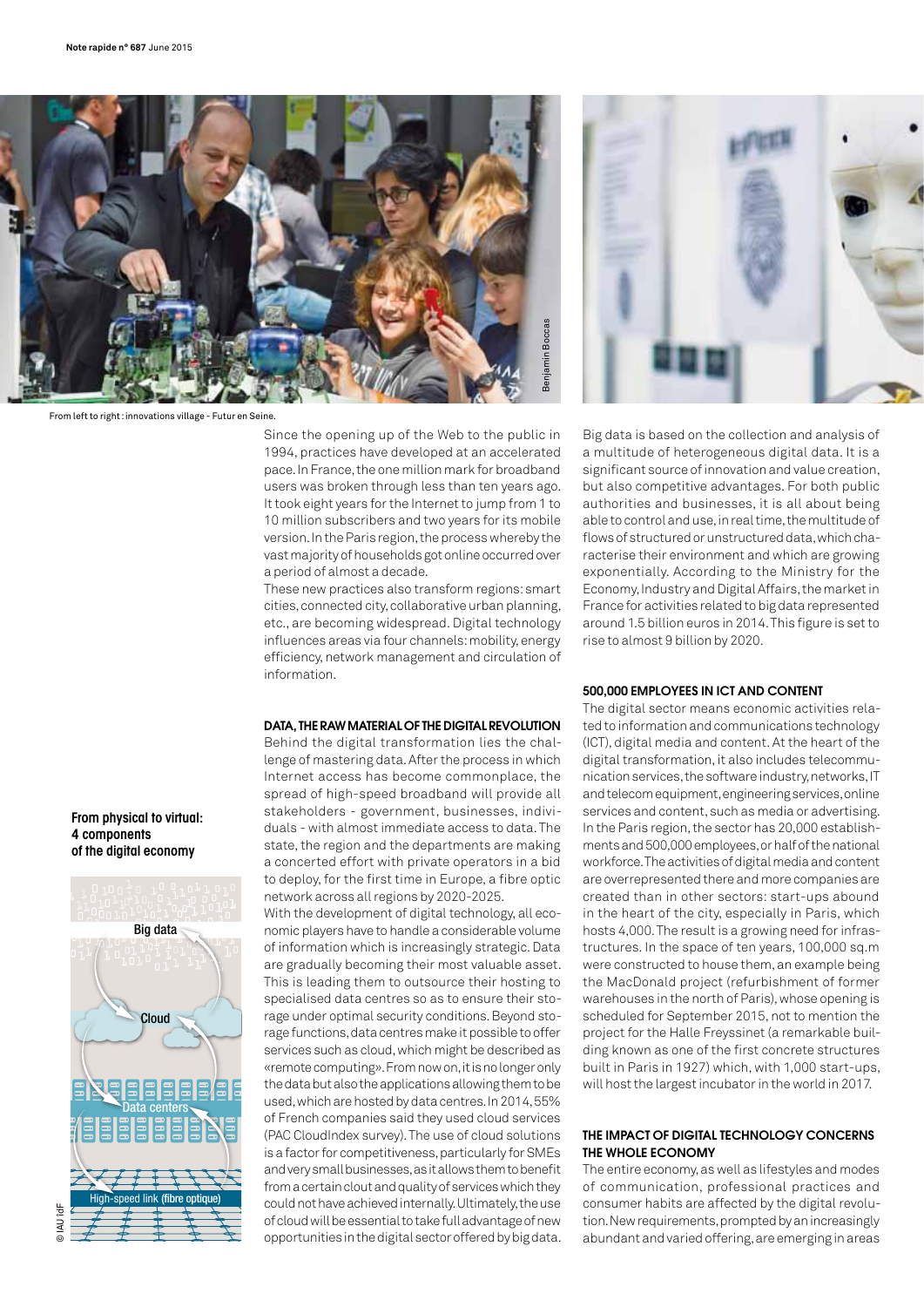

From left to right: innovations village - Futur en Seine.

Since the opening up of the Web to the public in 1994, practices have developed at an accelerated pace. In France, the one million mark for broadband users was broken through less than ten years ago. It took eight years for the Internet to jump from 1 to 10 million subscribers and two years for its mobile version. In the Paris region, the process whereby the vast majority of households got online occurred over a period of almost a decade.

These new practices also transform regions: smart cities, connected city, collaborative urban planning, etc., are becoming widespread. Digital technology influences areas via four channels: mobility, energy efficiency, network management and circulation of information.

#### Data, the raw material of the digital revolution

Behind the digital transformation lies the challenge of mastering data. After the process in which Internet access has become commonplace, the spread of high-speed broadband will provide all stakeholders - government, businesses, individuals - with almost immediate access to data. The state, the region and the departments are making a concerted effort with private operators in a bid to deploy, for the first time in Europe, a fibre optic network across all regions by 2020-2025.

With the development of digital technology, all economic players have to handle a considerable volume of information which is increasingly strategic. Data are gradually becoming their most valuable asset. This is leading them to outsource their hosting to specialised data centres so as to ensure their storage under optimal security conditions. Beyond storage functions, data centres make it possible to offer services such as cloud, which might be described as «remote computing». From now on, it is no longer only the data but also the applications allowing them to be used, which are hosted by data centres. In 2014, 55% of French companies said they used cloud services (PAC CloudIndex survey). The use of cloud solutions is a factor for competitiveness, particularly for SMEs and very small businesses, as it allows them to benefit from a certain clout and quality of services which they could not have achieved internally. Ultimately, the use of cloud will be essential to take full advantage of new opportunities in the digital sector offered by big data.



Big data is based on the collection and analysis of a multitude of heterogeneous digital data. It is a significant source of innovation and value creation, but also competitive advantages. For both public authorities and businesses, it is all about being able to control and use, in real time, the multitude of flows of structured or unstructured data, which characterise their environment and which are growing exponentially. According to the Ministry for the Economy, Industry and Digital Affairs, the market in France for activities related to big data represented around 1.5 billion euros in 2014. This figure is set to rise to almost 9 billion by 2020.

## 500,000 employees in ICT and content

The digital sector means economic activities related to information and communications technology (ICT), digital media and content. At the heart of the digital transformation, it also includes telecommunication services, the software industry, networks, IT and telecom equipment, engineering services, online services and content, such as media or advertising. In the Paris region, the sector has 20,000 establishments and 500,000employees, or half of the national workforce. The activities of digital media and content are overrepresented there and more companies are created than in other sectors: start-ups abound in the heart of the city, especially in Paris, which hosts 4,000. The result is a growing need for infrastructures. In the space of ten years, 100,000 sq.m were constructed to house them, an example being the MacDonald project (refurbishment of former warehouses in the north of Paris), whose opening is scheduled for September 2015, not to mention the project for the Halle Freyssinet (a remarkable building known as one of the first concrete structures built in Paris in 1927) which, with 1,000 start-ups, will host the largest incubator in the world in 2017.

## The impact of digital technology concerns the whole economy

The entire economy, as well as lifestyles and modes of communication, professional practices and consumer habits are affected by the digital revolution. New requirements, prompted by an increasingly abundant and varied offering, are emerging in areas

## From physical to virtual: 4 components of the digital economy

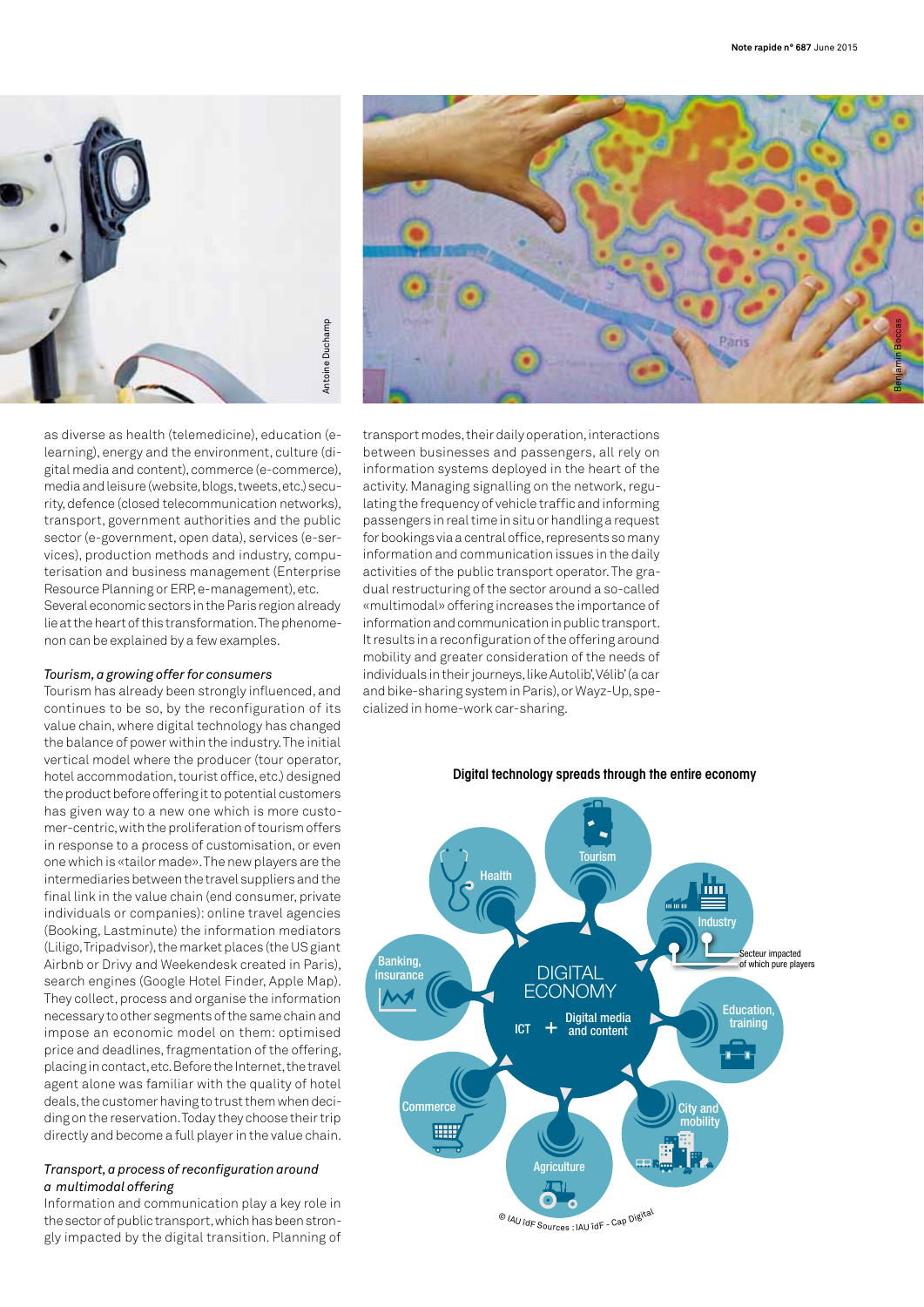



as diverse as health (telemedicine), education (elearning), energy and the environment, culture (digital media and content), commerce (e-commerce), media and leisure (website, blogs, tweets, etc.) security, defence (closed telecommunication networks), transport, government authorities and the public sector (e-government, open data), services (e-services), production methods and industry, computerisation and business management (Enterprise Resource Planning or ERP, e-management), etc. Several economic sectors in the Paris region already lie at the heart of this transformation. The phenomenon can be explained by a few examples.

## *Tourism, a growing offer for consumers*

Tourism has already been strongly influenced, and continues to be so, by the reconfiguration of its value chain, where digital technology has changed the balance of power within the industry. The initial vertical model where the producer (tour operator, hotel accommodation, tourist office, etc.) designed the product before offering it to potential customers has given way to a new one which is more customer-centric, with the proliferation of tourism offers in response to a process of customisation, or even one which is «tailor made». The new players are the intermediaries between the travel suppliers and the final link in the value chain (end consumer, private individuals or companies): online travel agencies (Booking, Lastminute) the information mediators (Liligo, Tripadvisor), the market places (the US giant Airbnb or Drivy and Weekendesk created in Paris), search engines (Google Hotel Finder, Apple Map). They collect, process and organise the information necessary to other segments of the same chain and impose an economic model on them: optimised price and deadlines, fragmentation of the offering, placing in contact, etc. Before the Internet, the travel agent alone was familiar with the quality of hotel deals, the customer having to trust them when deciding on the reservation. Today they choose their trip directly and become a full player in the value chain.

#### *Transport, a process of reconfiguration around a multimodal offering*

Information and communication play a key role in the sector of public transport, which has been strongly impacted by the digital transition. Planning of transport modes, their daily operation, interactions between businesses and passengers, all rely on information systems deployed in the heart of the activity. Managing signalling on the network, regulating the frequency of vehicle traffic and informing passengers in real time in situ or handling a request for bookings via a central office, represents so many information and communication issues in the daily activities of the public transport operator. The gradual restructuring of the sector around a so-called «multimodal» offering increases the importance of information and communication in public transport. It results in a reconfiguration of the offering around mobility and greater consideration of the needs of individuals in their journeys, like Autolib', Vélib' (a car and bike-sharing system in Paris), or Wayz-Up, specialized in home-work car-sharing.



#### Digital technology spreads through the entire economy